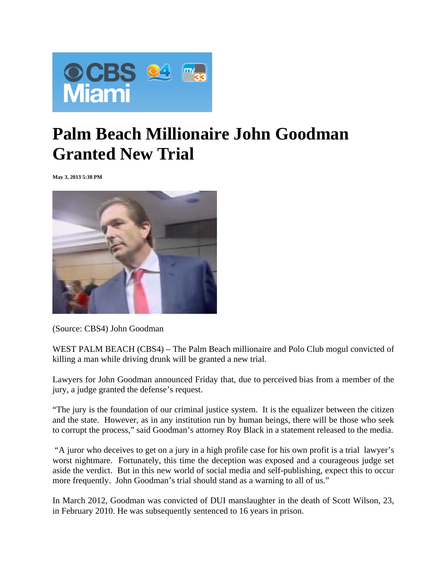

## **Palm Beach Millionaire John Goodman Granted New Trial**

**May 3, 2013 5:38 PM** 



(Source: CBS4) John Goodman

WEST PALM BEACH (CBS4) – The Palm Beach millionaire and Polo Club mogul convicted of killing a man while driving drunk will be granted a new trial.

Lawyers for John Goodman announced Friday that, due to perceived bias from a member of the jury, a judge granted the defense's request.

"The jury is the foundation of our criminal justice system. It is the equalizer between the citizen and the state. However, as in any institution run by human beings, there will be those who seek to corrupt the process," said Goodman's attorney Roy Black in a statement released to the media.

 "A juror who deceives to get on a jury in a high profile case for his own profit is a trial lawyer's worst nightmare. Fortunately, this time the deception was exposed and a courageous judge set aside the verdict. But in this new world of social media and self-publishing, expect this to occur more frequently. John Goodman's trial should stand as a warning to all of us."

In March 2012, Goodman was convicted of DUI manslaughter in the death of Scott Wilson, 23, in February 2010. He was subsequently sentenced to 16 years in prison.